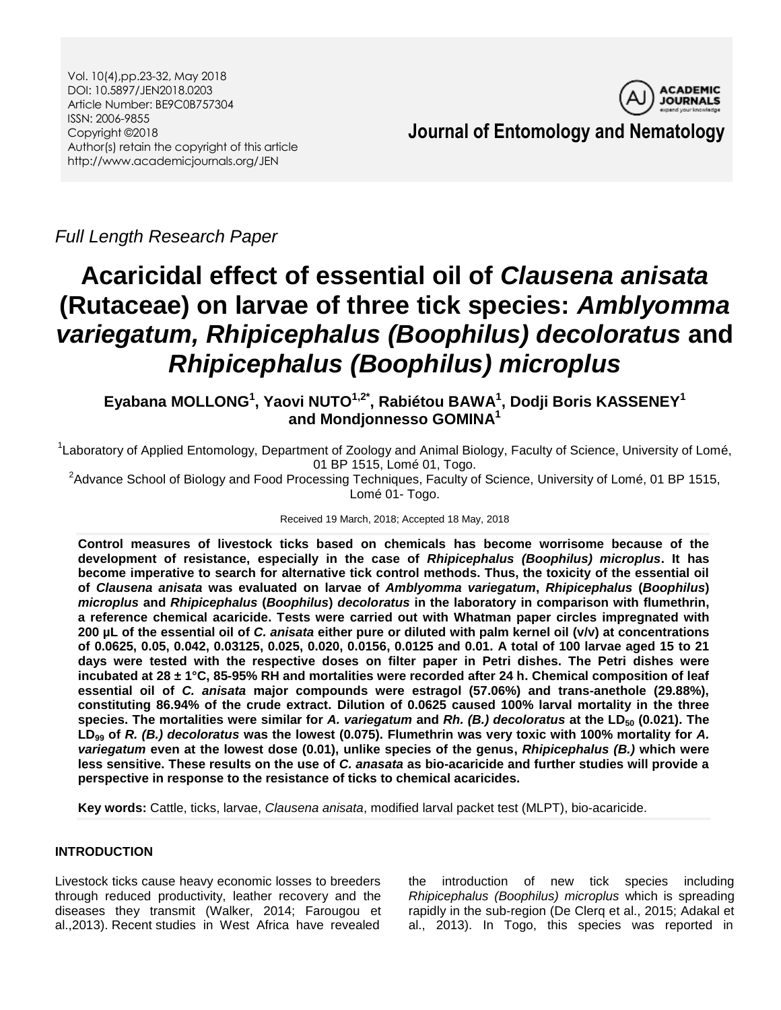Vol. 10(4),pp.23-32, May 2018 DOI: 10.5897/JEN2018.0203 Article Number: BE9C0B757304 ISSN: 2006-9855 Copyright ©2018 Author(s) retain the copyright of this article http://www.academicjournals.org/JEN



**Journal of Entomology and Nematology**

*Full Length Research Paper*

# **Acaricidal effect of essential oil of** *Clausena anisata* **(Rutaceae) on larvae of three tick species:** *Amblyomma variegatum, Rhipicephalus (Boophilus) decoloratus* **and** *Rhipicephalus (Boophilus) microplus*

**Eyabana MOLLONG<sup>1</sup> , Yaovi NUTO1,2\* , Rabiétou BAWA<sup>1</sup> , Dodji Boris KASSENEY<sup>1</sup> and Mondjonnesso GOMINA<sup>1</sup>**

<sup>1</sup> Laboratory of Applied Entomology, Department of Zoology and Animal Biology, Faculty of Science, University of Lomé, 01 BP 1515, Lomé 01, Togo.

<sup>2</sup>Advance School of Biology and Food Processing Techniques, Faculty of Science, University of Lomé, 01 BP 1515, Lomé 01- Togo.

Received 19 March, 2018; Accepted 18 May, 2018

**Control measures of livestock ticks based on chemicals has become worrisome because of the development of resistance, especially in the case of** *Rhipicephalus (Boophilus) microplus***. It has become imperative to search for alternative tick control methods. Thus, the toxicity of the essential oil of** *Clausena anisata* **was evaluated on larvae of** *Amblyomma variegatum***,** *Rhipicephalus* **(***Boophilus***)** *microplus* **and** *Rhipicephalus* **(***Boophilus***)** *decoloratus* **in the laboratory in comparison with flumethrin, a reference chemical acaricide. Tests were carried out with Whatman paper circles impregnated with 200 µL of the essential oil of** *C. anisata* **either pure or diluted with palm kernel oil (v/v) at concentrations of 0.0625, 0.05, 0.042, 0.03125, 0.025, 0.020, 0.0156, 0.0125 and 0.01. A total of 100 larvae aged 15 to 21 days were tested with the respective doses on filter paper in Petri dishes. The Petri dishes were incubated at 28 ± 1°C, 85-95% RH and mortalities were recorded after 24 h. Chemical composition of leaf essential oil of** *C. anisata* **major compounds were estragol (57.06%) and trans-anethole (29.88%), constituting 86.94% of the crude extract. Dilution of 0.0625 caused 100% larval mortality in the three species. The mortalities were similar for** *A. variegatum* **and** *Rh. (B.) decoloratus* **at the LD<sup>50</sup> (0.021). The LD<sup>99</sup> of** *R. (B.) decoloratus* **was the lowest (0.075). Flumethrin was very toxic with 100% mortality for** *A. variegatum* **even at the lowest dose (0.01), unlike species of the genus,** *Rhipicephalus (B.)* **which were less sensitive. These results on the use of** *C. anasata* **as bio-acaricide and further studies will provide a perspective in response to the resistance of ticks to chemical acaricides.**

**Key words:** Cattle, ticks, larvae, *Clausena anisata*, modified larval packet test (MLPT), bio-acaricide.

# **INTRODUCTION**

Livestock ticks cause heavy economic losses to breeders through reduced productivity, leather recovery and the diseases they transmit (Walker, 2014; Farougou et al.,2013). Recent studies in West Africa have revealed

the introduction of new tick species including *Rhipicephalus (Boophilus) microplus* which is spreading rapidly in the sub-region (De Clerq et al., 2015; Adakal et al., 2013). In Togo, this species was reported in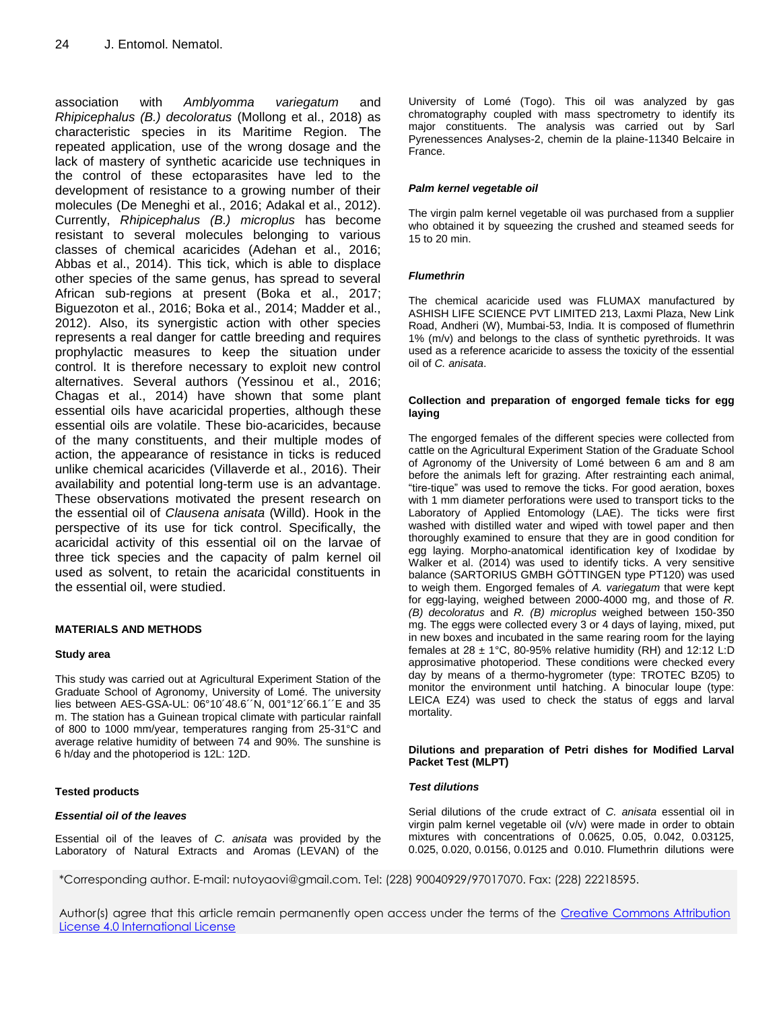association with *Amblyomma variegatum* and *Rhipicephalus (B.) decoloratus* (Mollong et al., 2018) as characteristic species in its Maritime Region. The repeated application, use of the wrong dosage and the lack of mastery of synthetic acaricide use techniques in the control of these ectoparasites have led to the development of resistance to a growing number of their molecules (De Meneghi et al., 2016; Adakal et al., 2012). Currently, *Rhipicephalus (B.) microplus* has become resistant to several molecules belonging to various classes of chemical acaricides (Adehan et al., 2016; Abbas et al., 2014). This tick, which is able to displace other species of the same genus, has spread to several African sub-regions at present (Boka et al., 2017; Biguezoton et al., 2016; Boka et al., 2014; Madder et al., 2012). Also, its synergistic action with other species represents a real danger for cattle breeding and requires prophylactic measures to keep the situation under control. It is therefore necessary to exploit new control alternatives. Several authors (Yessinou et al., 2016; Chagas et al., 2014) have shown that some plant essential oils have acaricidal properties, although these essential oils are volatile. These bio-acaricides, because of the many constituents, and their multiple modes of action, the appearance of resistance in ticks is reduced unlike chemical acaricides (Villaverde et al., 2016). Their availability and potential long-term use is an advantage. These observations motivated the present research on the essential oil of *Clausena anisata* (Willd). Hook in the perspective of its use for tick control. Specifically, the acaricidal activity of this essential oil on the larvae of three tick species and the capacity of palm kernel oil used as solvent, to retain the acaricidal constituents in the essential oil, were studied.

## **MATERIALS AND METHODS**

#### **Study area**

This study was carried out at Agricultural Experiment Station of the Graduate School of Agronomy, University of Lomé. The university lies between AES-GSA-UL: 06°10´48.6´´N, 001°12´66.1´´E and 35 m. The station has a Guinean tropical climate with particular rainfall of 800 to 1000 mm/year, temperatures ranging from 25-31°C and average relative humidity of between 74 and 90%. The sunshine is 6 h/day and the photoperiod is 12L: 12D.

## **Tested products**

## *Essential oil of the leaves*

Essential oil of the leaves of *C. anisata* was provided by the Laboratory of Natural Extracts and Aromas (LEVAN) of the

University of Lomé (Togo). This oil was analyzed by gas chromatography coupled with mass spectrometry to identify its major constituents. The analysis was carried out by Sarl Pyrenessences Analyses-2, chemin de la plaine-11340 Belcaire in France.

## *Palm kernel vegetable oil*

The virgin palm kernel vegetable oil was purchased from a supplier who obtained it by squeezing the crushed and steamed seeds for 15 to 20 min.

## *Flumethrin*

The chemical acaricide used was FLUMAX manufactured by ASHISH LIFE SCIENCE PVT LIMITED 213, Laxmi Plaza, New Link Road, Andheri (W), Mumbai-53, India. It is composed of flumethrin 1% (m/v) and belongs to the class of synthetic pyrethroids. It was used as a reference acaricide to assess the toxicity of the essential oil of *C. anisata*.

#### **Collection and preparation of engorged female ticks for egg laying**

The engorged females of the different species were collected from cattle on the Agricultural Experiment Station of the Graduate School of Agronomy of the University of Lomé between 6 am and 8 am before the animals left for grazing. After restrainting each animal, "tire-tique" was used to remove the ticks. For good aeration, boxes with 1 mm diameter perforations were used to transport ticks to the Laboratory of Applied Entomology (LAE). The ticks were first washed with distilled water and wiped with towel paper and then thoroughly examined to ensure that they are in good condition for egg laying. Morpho-anatomical identification key of Ixodidae by Walker et al. (2014) was used to identify ticks. A very sensitive balance (SARTORIUS GMBH GÖTTINGEN type PT120) was used to weigh them. Engorged females of *A. variegatum* that were kept for egg-laying, weighed between 2000-4000 mg, and those of *R. (B) decoloratus* and *R. (B) microplus* weighed between 150-350 mg. The eggs were collected every 3 or 4 days of laying, mixed, put in new boxes and incubated in the same rearing room for the laying females at  $28 \pm 1^{\circ}$ C, 80-95% relative humidity (RH) and 12:12 L:D approsimative photoperiod. These conditions were checked every day by means of a thermo-hygrometer (type: TROTEC BZ05) to monitor the environment until hatching. A binocular loupe (type: LEICA EZ4) was used to check the status of eggs and larval mortality.

#### **Dilutions and preparation of Petri dishes for Modified Larval Packet Test (MLPT)**

#### *Test dilutions*

Serial dilutions of the crude extract of *C. anisata* essential oil in virgin palm kernel vegetable oil (v/v) were made in order to obtain mixtures with concentrations of 0.0625, 0.05, 0.042, 0.03125, 0.025, 0.020, 0.0156, 0.0125 and 0.010. Flumethrin dilutions were

\*Corresponding author. E-mail: nutoyaovi@gmail.com. Tel: (228) 90040929/97017070. Fax: (228) 22218595.

Author(s) agree that this article remain permanently open access under the terms of the [Creative Commons Attribution](http://creativecommons.org/licenses/by/4.0/deed.en_US)  [License 4.0 International License](http://creativecommons.org/licenses/by/4.0/deed.en_US)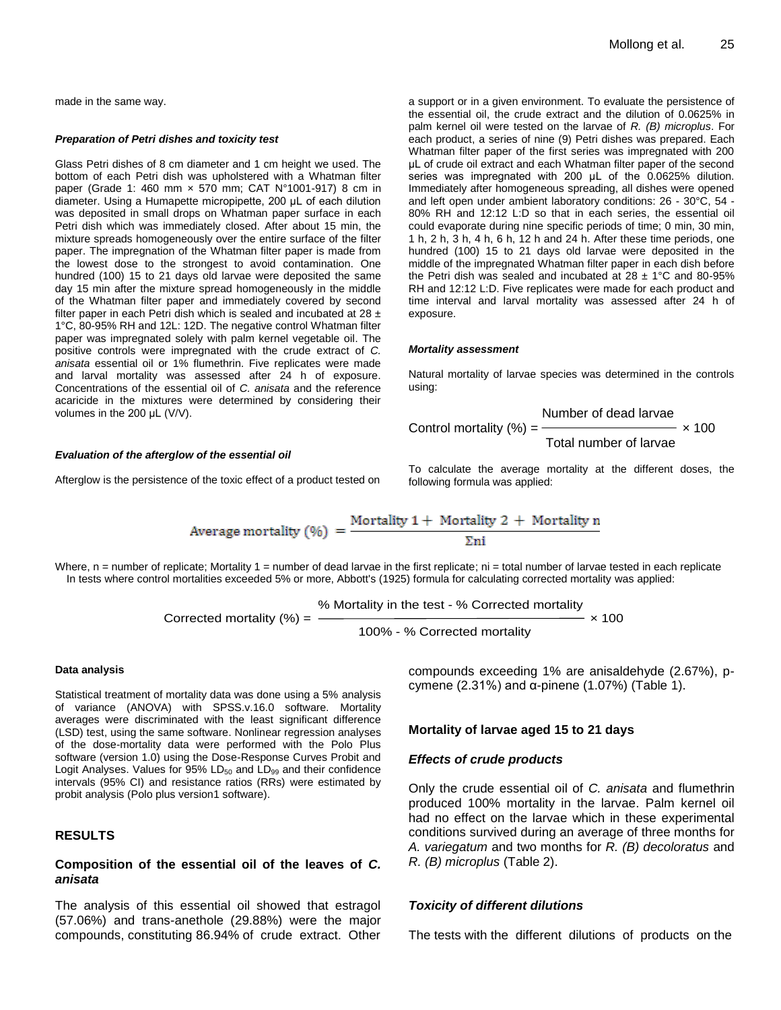made in the same way.

#### *Preparation of Petri dishes and toxicity test*

Glass Petri dishes of 8 cm diameter and 1 cm height we used. The bottom of each Petri dish was upholstered with a Whatman filter paper (Grade 1: 460 mm × 570 mm; CAT N°1001-917) 8 cm in diameter. Using a Humapette micropipette, 200 μL of each dilution was deposited in small drops on Whatman paper surface in each Petri dish which was immediately closed. After about 15 min, the mixture spreads homogeneously over the entire surface of the filter paper. The impregnation of the Whatman filter paper is made from the lowest dose to the strongest to avoid contamination. One hundred (100) 15 to 21 days old larvae were deposited the same day 15 min after the mixture spread homogeneously in the middle of the Whatman filter paper and immediately covered by second filter paper in each Petri dish which is sealed and incubated at 28  $\pm$ 1°C, 80-95% RH and 12L: 12D. The negative control Whatman filter paper was impregnated solely with palm kernel vegetable oil. The positive controls were impregnated with the crude extract of *C. anisata* essential oil or 1% flumethrin. Five replicates were made and larval mortality was assessed after 24 h of exposure. Concentrations of the essential oil of *C. anisata* and the reference acaricide in the mixtures were determined by considering their volumes in the 200 μL (V/V).

#### *Evaluation of the afterglow of the essential oil*

Afterglow is the persistence of the toxic effect of a product tested on

a support or in a given environment. To evaluate the persistence of the essential oil, the crude extract and the dilution of 0.0625% in palm kernel oil were tested on the larvae of *R. (B) microplus*. For each product, a series of nine (9) Petri dishes was prepared. Each Whatman filter paper of the first series was impregnated with 200 μL of crude oil extract and each Whatman filter paper of the second series was impregnated with 200 μL of the 0.0625% dilution. Immediately after homogeneous spreading, all dishes were opened and left open under ambient laboratory conditions: 26 - 30°C, 54 - 80% RH and 12:12 L:D so that in each series, the essential oil could evaporate during nine specific periods of time; 0 min, 30 min, 1 h, 2 h, 3 h, 4 h, 6 h, 12 h and 24 h. After these time periods, one hundred (100) 15 to 21 days old larvae were deposited in the middle of the impregnated Whatman filter paper in each dish before the Petri dish was sealed and incubated at  $28 \pm 1^{\circ}$ C and 80-95% RH and 12:12 L:D. Five replicates were made for each product and time interval and larval mortality was assessed after 24 h of exposure.

#### *Mortality assessment*

Natural mortality of larvae species was determined in the controls using:

 Number of dead larvae Control mortality  $(\%) =$   $\frac{\ }{\ }$   $\sqrt{100}$ Total number of larvae

To calculate the average mortality at the different doses, the following formula was applied:

Average mortality (
$$
\%
$$
) =  $\frac{\text{Mortality 1} + \text{Mortality 2} + \text{Mortality n}}{\Sigma \text{ni}}$ 

Where,  $n =$  number of replicate; Mortality 1 = number of dead larvae in the first replicate;  $ni =$  total number of larvae tested in each replicate In tests where control mortalities exceeded 5% or more, Abbott's (1925) formula for calculating corrected mortality was applied:

$$
% Mortality in the test - % Corrected mortality\nCorrected mortality (*) = \frac{\% Mortality in the test - % Corrected mortality\n}{\frac{\% 100}{\% 0.50} \times 100}
$$

#### **Data analysis**

Statistical treatment of mortality data was done using a 5% analysis of variance (ANOVA) with SPSS.v.16.0 software. Mortality averages were discriminated with the least significant difference (LSD) test, using the same software. Nonlinear regression analyses of the dose-mortality data were performed with the Polo Plus software (version 1.0) using the Dose-Response Curves Probit and Logit Analyses. Values for 95%  $LD_{50}$  and  $LD_{99}$  and their confidence intervals (95% CI) and resistance ratios (RRs) were estimated by probit analysis (Polo plus version1 software).

## **RESULTS**

#### **Composition of the essential oil of the leaves of** *C. anisata*

The analysis of this essential oil showed that estragol (57.06%) and trans-anethole (29.88%) were the major compounds, constituting 86.94% of crude extract. Other compounds exceeding 1% are anisaldehyde (2.67%), pcymene (2.31%) and α-pinene (1.07%) (Table 1).

#### **Mortality of larvae aged 15 to 21 days**

#### *Effects of crude products*

Only the crude essential oil of *C. anisata* and flumethrin produced 100% mortality in the larvae. Palm kernel oil had no effect on the larvae which in these experimental conditions survived during an average of three months for *A. variegatum* and two months for *R. (B) decoloratus* and *R. (B) microplus* (Table 2).

#### *Toxicity of different dilutions*

The tests with the different dilutions of products on the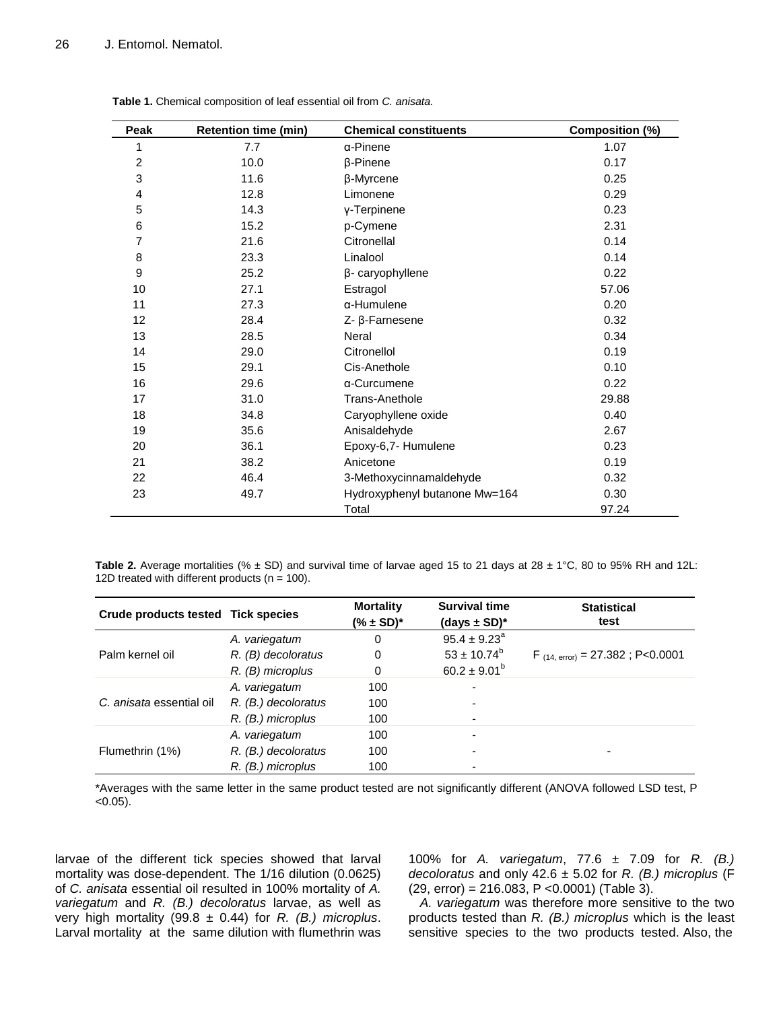l.

| Peak           | <b>Retention time (min)</b> | <b>Chemical constituents</b>  | Composition (%) |
|----------------|-----------------------------|-------------------------------|-----------------|
| 1              | 7.7                         | α-Pinene                      | 1.07            |
| $\overline{2}$ | 10.0                        | β-Pinene                      | 0.17            |
| 3              | 11.6                        | β-Myrcene                     | 0.25            |
| 4              | 12.8                        | Limonene                      | 0.29            |
| 5              | 14.3                        | γ-Terpinene                   | 0.23            |
| 6              | 15.2                        | p-Cymene                      | 2.31            |
| 7              | 21.6                        | Citronellal                   | 0.14            |
| 8              | 23.3                        | Linalool                      | 0.14            |
| 9              | 25.2                        | β- caryophyllene              | 0.22            |
| 10             | 27.1                        | Estragol                      | 57.06           |
| 11             | 27.3                        | α-Humulene                    | 0.20            |
| 12             | 28.4                        | $Z$ - β-Farnesene             | 0.32            |
| 13             | 28.5                        | Neral                         | 0.34            |
| 14             | 29.0                        | Citronellol                   | 0.19            |
| 15             | 29.1                        | Cis-Anethole                  | 0.10            |
| 16             | 29.6                        | α-Curcumene                   | 0.22            |
| 17             | 31.0                        | Trans-Anethole                | 29.88           |
| 18             | 34.8                        | Caryophyllene oxide           | 0.40            |
| 19             | 35.6                        | Anisaldehyde                  | 2.67            |
| 20             | 36.1                        | Epoxy-6,7- Humulene           | 0.23            |
| 21             | 38.2                        | Anicetone                     | 0.19            |
| 22             | 46.4                        | 3-Methoxycinnamaldehyde       | 0.32            |
| 23             | 49.7                        | Hydroxyphenyl butanone Mw=164 | 0.30            |
|                |                             | Total                         | 97.24           |

**Table 1.** Chemical composition of leaf essential oil from *C. anisata.*

**Table 2.** Average mortalities (%  $\pm$  SD) and survival time of larvae aged 15 to 21 days at 28  $\pm$  1°C, 80 to 95% RH and 12L: 12D treated with different products ( $n = 100$ ).

| Crude products tested Tick species |                      | <b>Mortality</b><br>$(% )^{*}$ (% ± SD)* | <b>Survival time</b><br>(days $\pm$ SD) <sup>*</sup> | <b>Statistical</b><br>test            |
|------------------------------------|----------------------|------------------------------------------|------------------------------------------------------|---------------------------------------|
|                                    | A. variegatum        | 0                                        | $95.4 \pm 9.23^{\circ}$                              |                                       |
| Palm kernel oil                    | $R.$ (B) decoloratus | 0                                        | $53 \pm 10.74^b$                                     | $F_{(14, error)} = 27.382$ ; P<0.0001 |
|                                    | R. (B) microplus     | 0                                        | $60.2 \pm 9.01^b$                                    |                                       |
|                                    | A. variegatum        | 100                                      |                                                      |                                       |
| C. anisata essential oil           | R. (B.) decoloratus  | 100                                      |                                                      |                                       |
|                                    | R. (B.) microplus    | 100                                      |                                                      |                                       |
|                                    | A. variegatum        | 100                                      |                                                      |                                       |
| Flumethrin (1%)                    | R. (B.) decoloratus  | 100                                      |                                                      |                                       |
|                                    | R. (B.) microplus    | 100                                      |                                                      |                                       |

\*Averages with the same letter in the same product tested are not significantly different (ANOVA followed LSD test, P  $< 0.05$ ).

larvae of the different tick species showed that larval mortality was dose-dependent. The 1/16 dilution (0.0625) of *C. anisata* essential oil resulted in 100% mortality of *A. variegatum* and *R. (B.) decoloratus* larvae, as well as very high mortality (99.8 ± 0.44) for *R. (B.) microplus*. Larval mortality at the same dilution with flumethrin was 100% for *A. variegatum*, 77.6 ± 7.09 for *R. (B.) decoloratus* and only 42.6 ± 5.02 for *R. (B.) microplus* (F  $(29, error) = 216.083, P < 0.0001)$  (Table 3).

*A. variegatum* was therefore more sensitive to the two products tested than *R. (B.) microplus* which is the least sensitive species to the two products tested. Also, the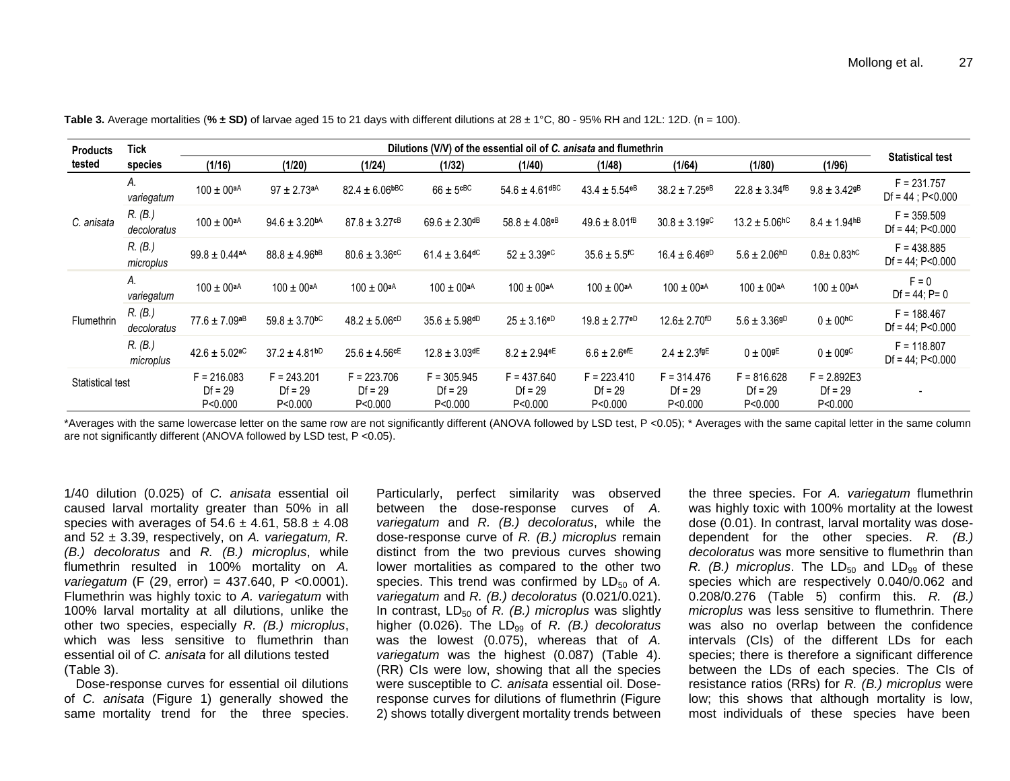| <b>Products</b>  | <b>Tick</b>            | Dilutions (V/V) of the essential oil of C. anisata and flumethrin |                                         |                                         |                                         |                                         |                                         |                                         |                                         |                                         |                                        |
|------------------|------------------------|-------------------------------------------------------------------|-----------------------------------------|-----------------------------------------|-----------------------------------------|-----------------------------------------|-----------------------------------------|-----------------------------------------|-----------------------------------------|-----------------------------------------|----------------------------------------|
| tested           | species                | (1/16)                                                            | (1/20)                                  | (1/24)                                  | (1/32)                                  | (1/40)                                  | (1/48)                                  | (1/64)                                  | (1/80)                                  | (1/96)                                  | <b>Statistical test</b>                |
| C. anisata       | А.<br>variegatum       | $100 \pm 00^{aA}$                                                 | $97 + 2.73$ <sup>aA</sup>               | $82.4 \pm 6.06$ bBC                     | $66 \pm 5^{\circ}$ BC                   | $54.6 \pm 4.61$ dBC                     | $43.4 \pm 5.54$ <sup>eB</sup>           | $38.2 \pm 7.25$ <sup>eB</sup>           | $22.8 \pm 3.34$ <sup>fB</sup>           | $9.8 \pm 3.429B$                        | $F = 231.757$<br>$Df = 44 : P < 0.000$ |
|                  | R. (B.)<br>decoloratus | $100 \pm 00^{aA}$                                                 | $94.6 \pm 3.20^{bA}$                    | $87.8 \pm 3.27$ <sup>cB</sup>           | $69.6 \pm 2.30$ <sup>dB</sup>           | $58.8 \pm 4.08$ <sup>eB</sup>           | $49.6 \pm 8.01$ <sup>fB</sup>           | $30.8 \pm 3.19$ <sup>gC</sup>           | $13.2 \pm 5.06$ <sup>hC</sup>           | $8.4 \pm 1.94^{h}$                      | $F = 359.509$<br>Df = $44: P<0.000$    |
|                  | R. (B.)<br>microplus   | $99.8 \pm 0.44$ aA                                                | $88.8 \pm 4.96^{bB}$                    | $80.6 \pm 3.36$ cC                      | $61.4 \pm 3.64$ dC                      | $52 \pm 3.39^{\circ}$ C                 | $35.6 \pm 5.5$ <sup>fC</sup>            | $16.4 \pm 6.469$ <sup>D</sup>           | $5.6 \pm 2.06^{hD}$                     | $0.8 + 0.83$ <sup>hC</sup>              | $F = 438.885$<br>Df = $44; P < 0.000$  |
| Flumethrin       | А.<br>variegatum       | $100 \pm 00^{aA}$                                                 | $100 \pm 00^{aA}$                       | $100 \pm 00^{aA}$                       | $100 \pm 00^{aA}$                       | $100 \pm 00^{aA}$                       | $100 \pm 00^{aA}$                       | $100 \pm 00^{aA}$                       | $100 \pm 00^{aA}$                       | $100 \pm 00^{aA}$                       | $F = 0$<br>$Df = 44; P = 0$            |
|                  | R. (B.)<br>decoloratus | $77.6 \pm 7.09^{aB}$                                              | $59.8 \pm 3.70$ <sup>bC</sup>           | $48.2 \pm 5.06^{cD}$                    | $35.6 \pm 5.98$ <sup>dD</sup>           | $25 \pm 3.16^{eD}$                      | $19.8 \pm 2.77$ <sup>eD</sup>           | $12.6 \pm 2.70^{fD}$                    | $5.6 \pm 3.369$ <sup>D</sup>            | $0 \pm 00$ <sup>hC</sup>                | $F = 188.467$<br>Df = $44; P < 0.000$  |
|                  | R. (B.)<br>microplus   | $42.6 \pm 5.02$ <sup>aC</sup>                                     | $37.2 \pm 4.81^{bD}$                    | $25.6 \pm 4.56$ <sup>cE</sup>           | $12.8 \pm 3.03^{\text{dE}}$             | $8.2 \pm 2.94$ <sup>eE</sup>            | $6.6 \pm 2.6$ efE                       | $2.4 \pm 2.3$ fgE                       | $0 \pm 00$ gE                           | $0 \pm 00$ gC                           | $F = 118.807$<br>Df = $44: P < 0.000$  |
| Statistical test |                        | $F = 216.083$<br>$Df = 29$<br>P < 0.000                           | $F = 243.201$<br>$Df = 29$<br>P < 0.000 | $F = 223.706$<br>$Df = 29$<br>P < 0.000 | $F = 305.945$<br>$Df = 29$<br>P < 0.000 | $F = 437.640$<br>Df = $29$<br>P < 0.000 | $F = 223.410$<br>$Df = 29$<br>P < 0.000 | $F = 314.476$<br>$Df = 29$<br>P < 0.000 | $F = 816.628$<br>$Df = 29$<br>P < 0.000 | $F = 2.892E3$<br>$Df = 29$<br>P < 0.000 | $\overline{\phantom{a}}$               |

**Table 3.** Average mortalities (**% ± SD)** of larvae aged 15 to 21 days with different dilutions at 28 ± 1°C, 80 - 95% RH and 12L: 12D. (n = 100).

\*Averages with the same lowercase letter on the same row are not significantly different (ANOVA followed by LSD test, P <0.05); \* Averages with the same capital letter in the same column are not significantly different (ANOVA followed by LSD test, P <0.05).

1/40 dilution (0.025) of *C. anisata* essential oil caused larval mortality greater than 50% in all species with averages of  $54.6 \pm 4.61$ ,  $58.8 \pm 4.08$ and 52 ± 3.39, respectively, on *A. variegatum, R. (B.) decoloratus* and *R. (B.) microplus*, while flumethrin resulted in 100% mortality on *A. variegatum* (F (29, error) = 437.640, P <0.0001). Flumethrin was highly toxic to *A. variegatum* with 100% larval mortality at all dilutions, unlike the other two species, especially *R. (B.) microplus*, which was less sensitive to flumethrin than essential oil of *C. anisata* for all dilutions tested (Table 3).

Dose-response curves for essential oil dilutions of *C. anisata* (Figure 1) generally showed the same mortality trend for the three species.

Particularly, perfect similarity was observed between the dose-response curves of *A. variegatum* and *R. (B.) decoloratus*, while the dose-response curve of *R. (B.) microplus* remain distinct from the two previous curves showing lower mortalities as compared to the other two species. This trend was confirmed by LD<sub>50</sub> of A. *variegatum* and *R. (B.) decoloratus* (0.021/0.021). In contrast,  $LD_{50}$  of *R. (B.) microplus* was slightly higher (0.026). The LD<sub>99</sub> of *R. (B.) decoloratus* was the lowest (0.075), whereas that of *A. variegatum* was the highest (0.087) (Table 4). (RR) CIs were low, showing that all the species were susceptible to *C. anisata* essential oil. Doseresponse curves for dilutions of flumethrin (Figure 2) shows totally divergent mortality trends between

the three species. For *A. variegatum* flumethrin was highly toxic with 100% mortality at the lowest dose (0.01). In contrast, larval mortality was dosedependent for the other species. *R. (B.) decoloratus* was more sensitive to flumethrin than *R. (B.) microplus.* The  $LD_{50}$  and  $LD_{99}$  of these species which are respectively 0.040/0.062 and 0.208/0.276 (Table 5) confirm this. *R. (B.) microplus* was less sensitive to flumethrin. There was also no overlap between the confidence intervals (CIs) of the different LDs for each species; there is therefore a significant difference between the LDs of each species. The CIs of resistance ratios (RRs) for *R. (B.) microplus* were low; this shows that although mortality is low, most individuals of these species have been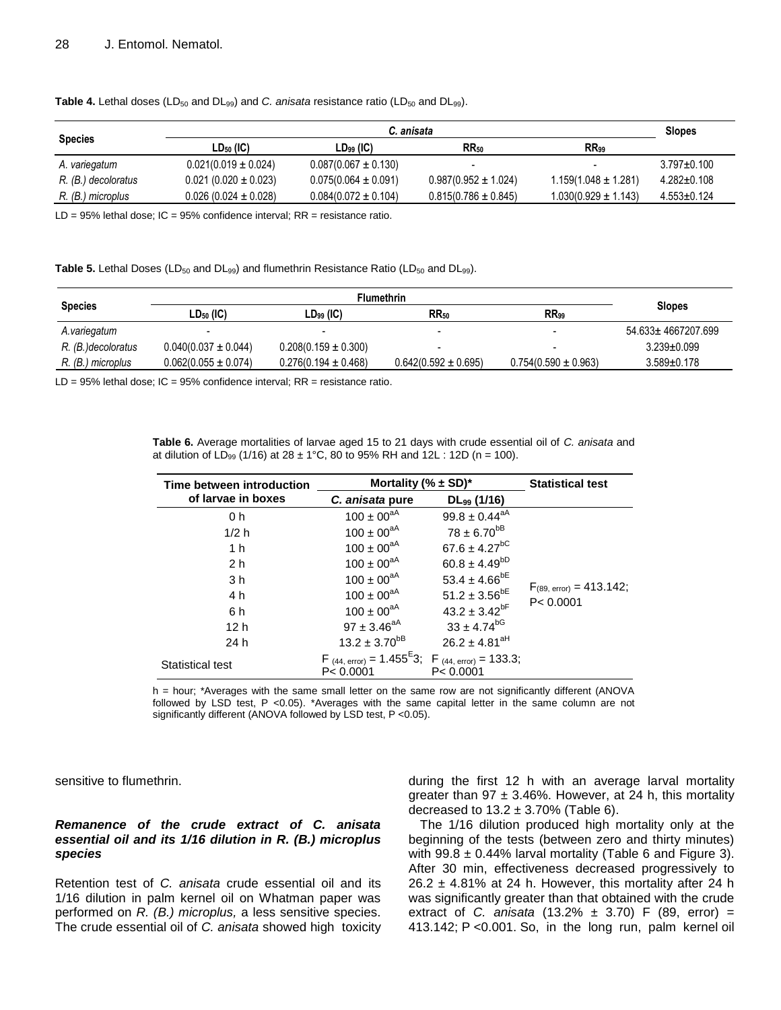|                     | C. anisata               |                          |                          |                          |                   |  |
|---------------------|--------------------------|--------------------------|--------------------------|--------------------------|-------------------|--|
| <b>Species</b>      | LD <sub>50</sub> (IC)    | $LD_{99}$ (IC)           | RR <sub>50</sub>         | RR <sub>99</sub>         |                   |  |
| A. variegatum       | $0.021(0.019 \pm 0.024)$ | $0.087(0.067 \pm 0.130)$ |                          | $\overline{\phantom{0}}$ | $3.797 \pm 0.100$ |  |
| R. (B.) decoloratus | $0.021(0.020 \pm 0.023)$ | $0.075(0.064 \pm 0.091)$ | $0.987(0.952 \pm 1.024)$ | $1.159(1.048 \pm 1.281)$ | $4.282 \pm 0.108$ |  |
| R. (B.) microplus   | $0.026(0.024 \pm 0.028)$ | $0.084(0.072 \pm 0.104)$ | $0.815(0.786 \pm 0.845)$ | $1.030(0.929 \pm 1.143)$ | $4.553 \pm 0.124$ |  |

**Table 4.** Lethal doses (LD<sub>50</sub> and DL<sub>99</sub>) and *C. anisata* resistance ratio (LD<sub>50</sub> and DL<sub>99</sub>).

LD =  $95\%$  lethal dose; IC =  $95\%$  confidence interval; RR = resistance ratio.

**Table 5.** Lethal Doses (LD<sub>50</sub> and DL<sub>99</sub>) and flumethrin Resistance Ratio (LD<sub>50</sub> and DL<sub>99</sub>).

| <b>Species</b>     | RR <sub>50</sub><br>$LD_{50}$ (IC)<br>$LD_{99}$ (IC) |                          | <b>Slopes</b><br>RR <sub>99</sub> |                          |                     |
|--------------------|------------------------------------------------------|--------------------------|-----------------------------------|--------------------------|---------------------|
| A.variegatum       |                                                      |                          | $\overline{\phantom{a}}$          |                          | 54.633± 4667207.699 |
| R. (B.)decoloratus | $0.040(0.037 \pm 0.044)$                             | $0.208(0.159 \pm 0.300)$ | $\overline{\phantom{a}}$          |                          | $3.239 \pm 0.099$   |
| R. (B.) microplus  | $0.062(0.055 \pm 0.074)$                             | $0.276(0.194 \pm 0.468)$ | $0.642(0.592 \pm 0.695)$          | $0.754(0.590 \pm 0.963)$ | $3.589 \pm 0.178$   |

LD =  $95\%$  lethal dose; IC =  $95\%$  confidence interval; RR = resistance ratio.

**Table 6.** Average mortalities of larvae aged 15 to 21 days with crude essential oil of *C. anisata* and at dilution of LD<sub>99</sub> (1/16) at 28  $\pm$  1°C, 80 to 95% RH and 12L : 12D (n = 100).

| Time between introduction | Mortality $(\% \pm SD)^*$                                           | <b>Statistical test</b>       |                                            |
|---------------------------|---------------------------------------------------------------------|-------------------------------|--------------------------------------------|
| of larvae in boxes        | C. anisata pure                                                     | $DL_{99}$ (1/16)              |                                            |
| 0 h                       | $100 \pm 00^{aA}$                                                   | $99.8 \pm 0.44^{aA}$          |                                            |
| 1/2 h                     | $100 \pm 00^{aA}$                                                   | $78 \pm 6.70^{bB}$            |                                            |
| 1 <sub>h</sub>            | $100 \pm 00^{aA}$                                                   | $67.6 \pm 4.27$ <sup>bC</sup> |                                            |
| 2 <sub>h</sub>            | $100 \pm 00^{aA}$                                                   | $60.8 \pm 4.49^{bD}$          |                                            |
| 3 h                       | $100 \pm 00^{aA}$                                                   | $53.4 \pm 4.66^{bE}$          |                                            |
| 4 h                       | $100 \pm 00^{aA}$                                                   | $51.2 \pm 3.56^{bE}$          | $F_{(89, error)} = 413.142;$<br>P < 0.0001 |
| 6 h                       | $100 \pm 00^{aA}$                                                   | $43.2 \pm 3.42^{bF}$          |                                            |
| 12 <sub>h</sub>           | $97 \pm 3.46^{\text{aA}}$                                           | $33 \pm 4.74^{bG}$            |                                            |
| 24 h                      | $13.2 \pm 3.70^{bB}$                                                | $26.2 \pm 4.81$ <sup>aH</sup> |                                            |
| Statistical test          | F (44, error) = $1.455^{E}3$ ; F (44, error) = 133.3;<br>P < 0.0001 | P < 0.0001                    |                                            |

h = hour; \*Averages with the same small letter on the same row are not significantly different (ANOVA followed by LSD test, P < 0.05). \*Averages with the same capital letter in the same column are not significantly different (ANOVA followed by LSD test, P < 0.05).

sensitive to flumethrin.

## *Remanence of the crude extract of C. anisata essential oil and its 1/16 dilution in R. (B.) microplus species*

Retention test of *C. anisata* crude essential oil and its 1/16 dilution in palm kernel oil on Whatman paper was performed on *R. (B.) microplus,* a less sensitive species. The crude essential oil of *C. anisata* showed high toxicity during the first 12 h with an average larval mortality greater than 97  $\pm$  3.46%. However, at 24 h, this mortality decreased to  $13.2 \pm 3.70\%$  (Table 6).

The 1/16 dilution produced high mortality only at the beginning of the tests (between zero and thirty minutes) with 99.8  $\pm$  0.44% larval mortality (Table 6 and Figure 3). After 30 min, effectiveness decreased progressively to  $26.2 \pm 4.81\%$  at 24 h. However, this mortality after 24 h was significantly greater than that obtained with the crude extract of *C. anisata* (13.2% ± 3.70) F (89, error) = 413.142; P <0.001. So, in the long run, palm kernel oil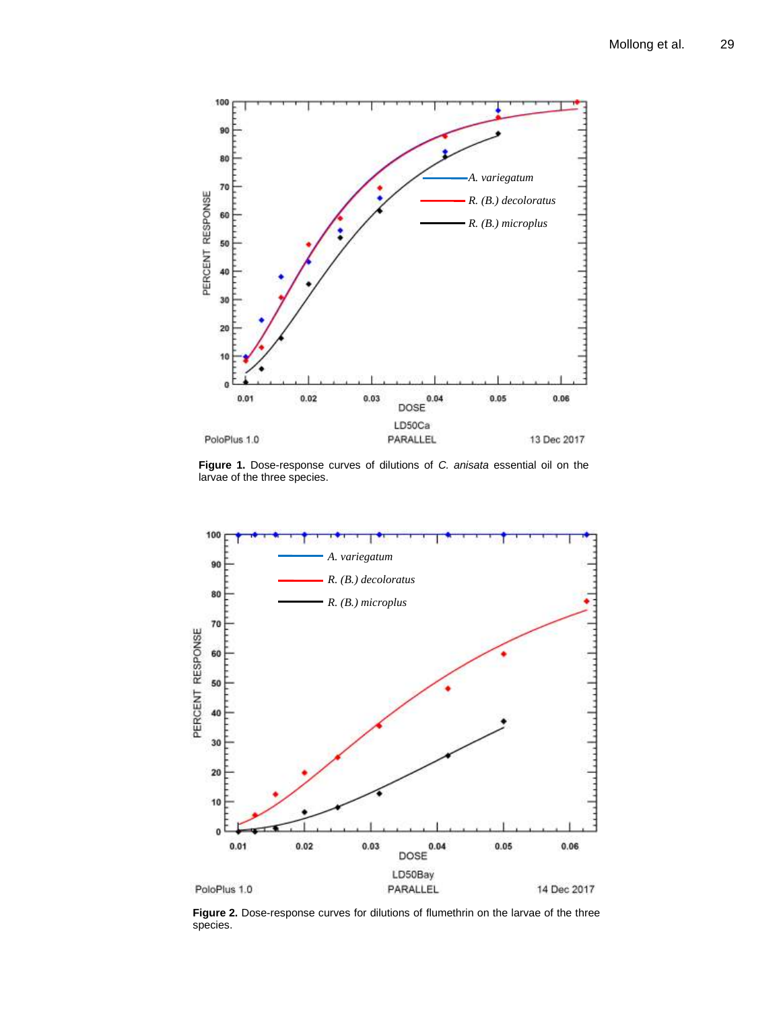

**Figure 1.** Dose-response curves of dilutions of *C. anisata* essential oil on the larvae of the three species.



**Figure 2.** Dose-response curves for dilutions of flumethrin on the larvae of the three species.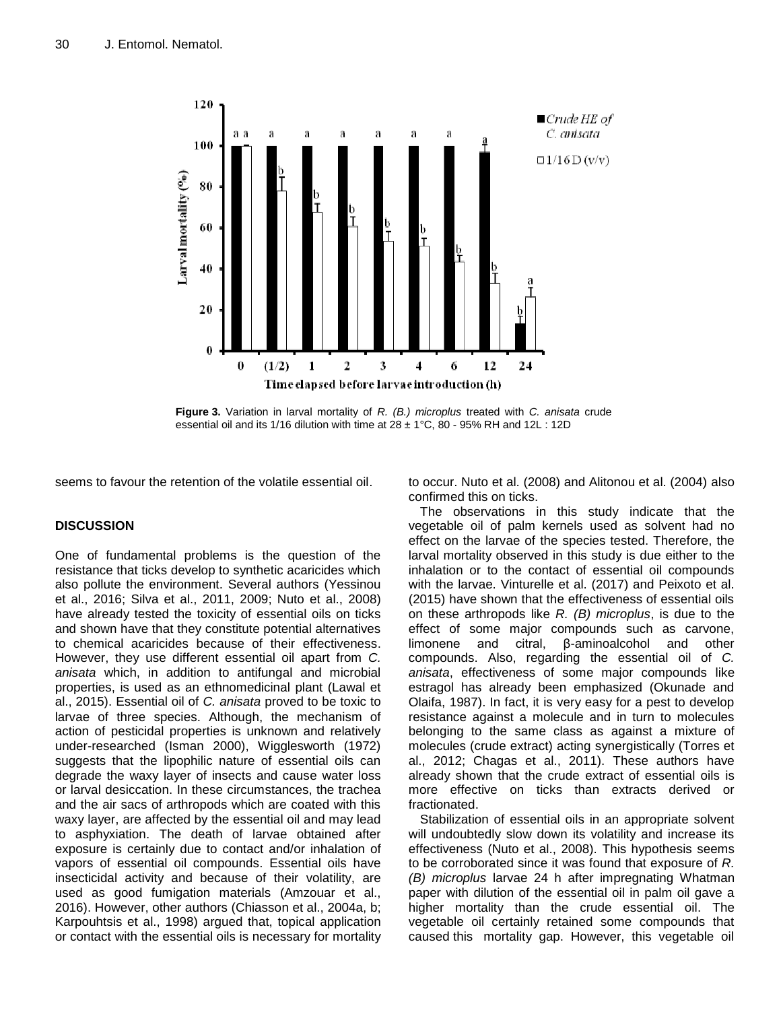

**Figure 3.** Variation in larval mortality of *R. (B.) microplus* treated with *C. anisata* crude essential oil and its 1/16 dilution with time at  $28 \pm 1^{\circ}$ C, 80 - 95% RH and 12L : 12D

seems to favour the retention of the volatile essential oil.

# **DISCUSSION**

One of fundamental problems is the question of the resistance that ticks develop to synthetic acaricides which also pollute the environment. Several authors (Yessinou et al., 2016; Silva et al., 2011, 2009; Nuto et al., 2008) have already tested the toxicity of essential oils on ticks and shown have that they constitute potential alternatives to chemical acaricides because of their effectiveness. However, they use different essential oil apart from *C. anisata* which, in addition to antifungal and microbial properties, is used as an ethnomedicinal plant (Lawal et al., 2015). Essential oil of *C. anisata* proved to be toxic to larvae of three species. Although, the mechanism of action of pesticidal properties is unknown and relatively under-researched (Isman 2000), Wigglesworth (1972) suggests that the lipophilic nature of essential oils can degrade the waxy layer of insects and cause water loss or larval desiccation. In these circumstances, the trachea and the air sacs of arthropods which are coated with this waxy layer, are affected by the essential oil and may lead to asphyxiation. The death of larvae obtained after exposure is certainly due to contact and/or inhalation of vapors of essential oil compounds. Essential oils have insecticidal activity and because of their volatility, are used as good fumigation materials (Amzouar et al., 2016). However, other authors (Chiasson et al., 2004a, b; Karpouhtsis et al., 1998) argued that, topical application or contact with the essential oils is necessary for mortality to occur. Nuto et al. (2008) and Alitonou et al. (2004) also confirmed this on ticks.

The observations in this study indicate that the vegetable oil of palm kernels used as solvent had no effect on the larvae of the species tested. Therefore, the larval mortality observed in this study is due either to the inhalation or to the contact of essential oil compounds with the larvae. Vinturelle et al. (2017) and Peixoto et al. (2015) have shown that the effectiveness of essential oils on these arthropods like *R. (B) microplus*, is due to the effect of some major compounds such as carvone, limonene and citral, β-aminoalcohol and other compounds. Also, regarding the essential oil of *C. anisata*, effectiveness of some major compounds like estragol has already been emphasized (Okunade and Olaifa, 1987). In fact, it is very easy for a pest to develop resistance against a molecule and in turn to molecules belonging to the same class as against a mixture of molecules (crude extract) acting synergistically (Torres et al., 2012; Chagas et al., 2011). These authors have already shown that the crude extract of essential oils is more effective on ticks than extracts derived or fractionated.

Stabilization of essential oils in an appropriate solvent will undoubtedly slow down its volatility and increase its effectiveness (Nuto et al., 2008). This hypothesis seems to be corroborated since it was found that exposure of *R. (B) microplus* larvae 24 h after impregnating Whatman paper with dilution of the essential oil in palm oil gave a higher mortality than the crude essential oil. The vegetable oil certainly retained some compounds that caused this mortality gap. However, this vegetable oil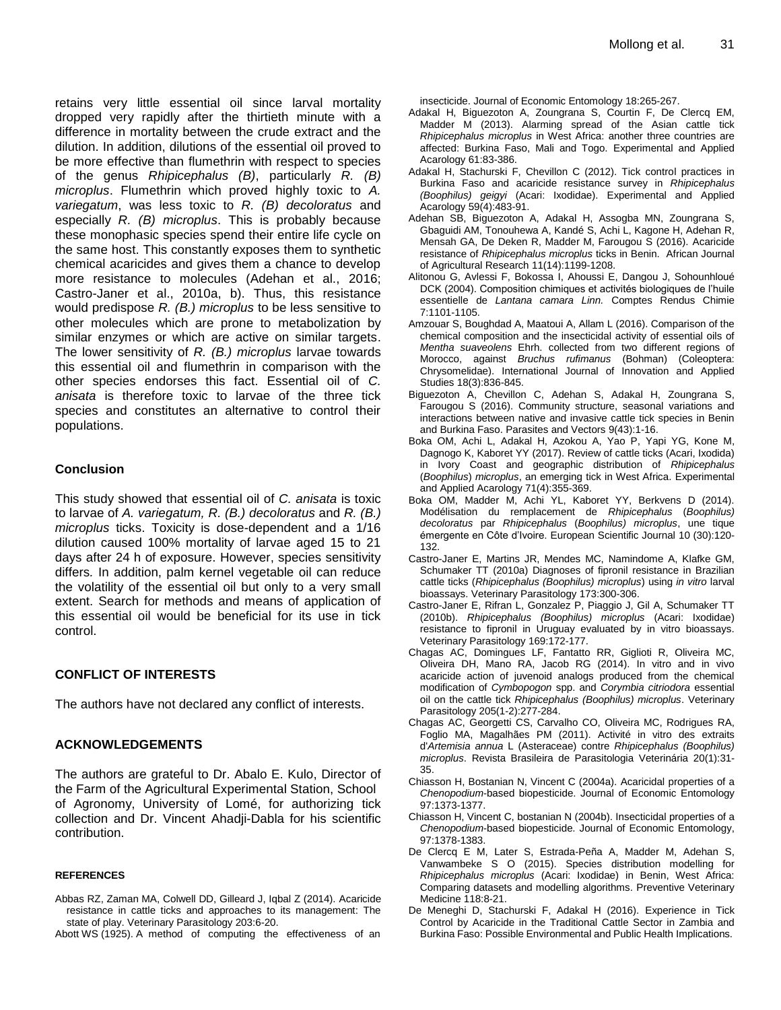retains very little essential oil since larval mortality dropped very rapidly after the thirtieth minute with a difference in mortality between the crude extract and the dilution. In addition, dilutions of the essential oil proved to be more effective than flumethrin with respect to species of the genus *Rhipicephalus (B)*, particularly *R. (B) microplus*. Flumethrin which proved highly toxic to *A. variegatum*, was less toxic to *R. (B) decoloratus* and especially *R. (B) microplus*. This is probably because these monophasic species spend their entire life cycle on the same host. This constantly exposes them to synthetic chemical acaricides and gives them a chance to develop more resistance to molecules (Adehan et al., 2016; Castro-Janer et al., 2010a, b). Thus, this resistance would predispose *R. (B.) microplus* to be less sensitive to other molecules which are prone to metabolization by similar enzymes or which are active on similar targets. The lower sensitivity of *R. (B.) microplus* larvae towards this essential oil and flumethrin in comparison with the other species endorses this fact. Essential oil of *C. anisata* is therefore toxic to larvae of the three tick species and constitutes an alternative to control their populations.

## **Conclusion**

This study showed that essential oil of *C. anisata* is toxic to larvae of *A. variegatum, R. (B.) decoloratus* and *R. (B.) microplus* ticks. Toxicity is dose-dependent and a 1/16 dilution caused 100% mortality of larvae aged 15 to 21 days after 24 h of exposure. However, species sensitivity differs*.* In addition, palm kernel vegetable oil can reduce the volatility of the essential oil but only to a very small extent. Search for methods and means of application of this essential oil would be beneficial for its use in tick control.

# **CONFLICT OF INTERESTS**

The authors have not declared any conflict of interests.

# **ACKNOWLEDGEMENTS**

The authors are grateful to Dr. Abalo E. Kulo, Director of the Farm of the Agricultural Experimental Station, School of Agronomy, University of Lomé, for authorizing tick collection and Dr. Vincent Ahadji-Dabla for his scientific contribution.

## **REFERENCES**

- Abbas RZ, Zaman MA, Colwell DD, Gilleard J, Iqbal Z (2014). Acaricide resistance in cattle ticks and approaches to its management: The state of play. Veterinary Parasitology 203:6-20.
- Abott WS (1925). A method of computing the effectiveness of an

insecticide. Journal of Economic Entomology 18:265-267.

- Adakal H, Biguezoton A, Zoungrana S, Courtin F, De Clercq EM, Madder M (2013). Alarming spread of the Asian cattle tick *Rhipicephalus microplus* in West Africa: another three countries are affected: Burkina Faso, Mali and Togo. Experimental and Applied Acarology 61:83-386.
- Adakal H, Stachurski F, Chevillon C (2012). Tick control practices in Burkina Faso and acaricide resistance survey in *Rhipicephalus (Boophilus) geigyi* (Acari: Ixodidae). Experimental and Applied Acarology 59(4):483-91.
- Adehan SB, Biguezoton A, Adakal H, Assogba MN, Zoungrana S, Gbaguidi AM, Tonouhewa A, Kandé S, Achi L, Kagone H, Adehan R, Mensah GA, De Deken R, Madder M, Farougou S (2016). Acaricide resistance of *Rhipicephalus microplus* ticks in Benin. African Journal of Agricultural Research 11(14):1199-1208.
- Alitonou G, Avlessi F, Bokossa I, Ahoussi E, Dangou J, Sohounhloué DCK (2004). Composition chimiques et activités biologiques de l'huile essentielle de *Lantana camara Linn.* Comptes Rendus Chimie 7:1101-1105.
- Amzouar S, Boughdad A, Maatoui A, Allam L (2016). Comparison of the chemical composition and the insecticidal activity of essential oils of *Mentha suaveolens* Ehrh. collected from two different regions of Morocco, against *Bruchus rufimanus* (Bohman) (Coleoptera: Chrysomelidae). International Journal of Innovation and Applied Studies 18(3):836-845.
- Biguezoton A, Chevillon C, Adehan S, Adakal H, Zoungrana S, Farougou S (2016). Community structure, seasonal variations and interactions between native and invasive cattle tick species in Benin and Burkina Faso. Parasites and Vectors 9(43):1-16.
- [Boka](https://www.ncbi.nlm.nih.gov/pubmed/?term=Boka%20OM%5BAuthor%5D&cauthor=true&cauthor_uid=28497303) OM, [Achi L,](https://www.ncbi.nlm.nih.gov/pubmed/?term=Achi%20L%5BAuthor%5D&cauthor=true&cauthor_uid=28497303) [Adakal H,](https://www.ncbi.nlm.nih.gov/pubmed/?term=Adakal%20H%5BAuthor%5D&cauthor=true&cauthor_uid=28497303) [Azokou A,](https://www.ncbi.nlm.nih.gov/pubmed/?term=Azokou%20A%5BAuthor%5D&cauthor=true&cauthor_uid=28497303) [Yao P,](https://www.ncbi.nlm.nih.gov/pubmed/?term=Yao%20P%5BAuthor%5D&cauthor=true&cauthor_uid=28497303) [Yapi YG,](https://www.ncbi.nlm.nih.gov/pubmed/?term=Yapi%20YG%5BAuthor%5D&cauthor=true&cauthor_uid=28497303) [Kone M,](https://www.ncbi.nlm.nih.gov/pubmed/?term=Kone%20M%5BAuthor%5D&cauthor=true&cauthor_uid=28497303) [Dagnogo K,](https://www.ncbi.nlm.nih.gov/pubmed/?term=Dagnogo%20K%5BAuthor%5D&cauthor=true&cauthor_uid=28497303) [Kaboret YY](https://www.ncbi.nlm.nih.gov/pubmed/?term=Kaboret%20YY%5BAuthor%5D&cauthor=true&cauthor_uid=28497303) (2017). Review of cattle ticks (Acari, Ixodida) in Ivory Coast and geographic distribution of *Rhipicephalus* (*Boophilus*) *microplus*, an emerging tick in West Africa. Experimental and Applied Acarology 71(4):355-369.
- Boka OM, Madder M, Achi YL, Kaboret YY, Berkvens D (2014). Modélisation du remplacement de *Rhipicephalus* (*Boophilus) decoloratus* par *Rhipicephalus* (*Boophilus) microplus*, une tique émergente en Côte d'Ivoire. European Scientific Journal 10 (30):120- 132.
- Castro-Janer E, Martins JR, Mendes MC, Namindome A, Klafke GM, Schumaker TT (2010a) Diagnoses of fipronil resistance in Brazilian cattle ticks (*Rhipicephalus (Boophilus) microplus*) using *in vitro* larval bioassays. Veterinary Parasitology 173:300-306.
- Castro-Janer E, Rifran L, Gonzalez P, Piaggio J, Gil A, Schumaker TT (2010b). *Rhipicephalus (Boophilus) microplus* (Acari: Ixodidae) resistance to fipronil in Uruguay evaluated by in vitro bioassays. Veterinary Parasitology 169:172-177.
- Chagas AC, Domingues LF, Fantatto RR, Giglioti R, Oliveira MC, Oliveira DH, Mano RA, Jacob RG (2014). In vitro and in vivo acaricide action of juvenoid analogs produced from the chemical modification of *Cymbopogon* spp. and *Corymbia citriodora* essential oil on the cattle tick *Rhipicephalus (Boophilus) microplus*. Veterinary Parasitology 205(1-2):277-284.
- [Chagas](https://translate.googleusercontent.com/translate_c?depth=1&hl=fr&prev=search&rurl=translate.google.com&sl=en&sp=nmt4&u=https://www.ncbi.nlm.nih.gov/pubmed/%3Fterm%3DChagas%2520AC%255BAuthor%255D%26cauthor%3Dtrue%26cauthor_uid%3D21439229&usg=ALkJrhjWYUnm4gS9dxkyAMS_xQZA3VCUIA) AC, [Georgetti CS,](https://translate.googleusercontent.com/translate_c?depth=1&hl=fr&prev=search&rurl=translate.google.com&sl=en&sp=nmt4&u=https://www.ncbi.nlm.nih.gov/pubmed/%3Fterm%3DGeorgetti%2520CS%255BAuthor%255D%26cauthor%3Dtrue%26cauthor_uid%3D21439229&usg=ALkJrhinJaTI3frxKYqaeN56D626RusI9g) [Carvalho CO,](https://translate.googleusercontent.com/translate_c?depth=1&hl=fr&prev=search&rurl=translate.google.com&sl=en&sp=nmt4&u=https://www.ncbi.nlm.nih.gov/pubmed/%3Fterm%3DCarvalho%2520CO%255BAuthor%255D%26cauthor%3Dtrue%26cauthor_uid%3D21439229&usg=ALkJrhjvWEo_SZJXDvW0SWVUHriRtjhadQ) [Oliveira MC,](https://translate.googleusercontent.com/translate_c?depth=1&hl=fr&prev=search&rurl=translate.google.com&sl=en&sp=nmt4&u=https://www.ncbi.nlm.nih.gov/pubmed/%3Fterm%3DOliveira%2520MC%255BAuthor%255D%26cauthor%3Dtrue%26cauthor_uid%3D21439229&usg=ALkJrhi-cyVhxHPsUzCTil119Wvk0LuHxA) [Rodrigues](https://translate.googleusercontent.com/translate_c?depth=1&hl=fr&prev=search&rurl=translate.google.com&sl=en&sp=nmt4&u=https://www.ncbi.nlm.nih.gov/pubmed/%3Fterm%3DRodrigues%2520RA%255BAuthor%255D%26cauthor%3Dtrue%26cauthor_uid%3D21439229&usg=ALkJrhh4xkfGpzs7XQQ4JcBEJIhlgp057g) RA, [Foglio MA,](https://translate.googleusercontent.com/translate_c?depth=1&hl=fr&prev=search&rurl=translate.google.com&sl=en&sp=nmt4&u=https://www.ncbi.nlm.nih.gov/pubmed/%3Fterm%3DFoglio%2520MA%255BAuthor%255D%26cauthor%3Dtrue%26cauthor_uid%3D21439229&usg=ALkJrhgSfzlqRy4mpCkWEQzFAgEYWEfmVg) [Magalhães PM](https://translate.googleusercontent.com/translate_c?depth=1&hl=fr&prev=search&rurl=translate.google.com&sl=en&sp=nmt4&u=https://www.ncbi.nlm.nih.gov/pubmed/%3Fterm%3DMagalh%25C3%25A3es%2520PM%255BAuthor%255D%26cauthor%3Dtrue%26cauthor_uid%3D21439229&usg=ALkJrhjhUXIG4bYeKatTCCRs2G2UYaXFHg) (2011). Activité in vitro des extraits d'*Artemisia annua* L (Asteraceae) contre *Rhipicephalus (Boophilus) microplus*. Revista Brasileira de Parasitologia Veterinária 20(1):31- 35.
- Chiasson H, Bostanian N, Vincent C (2004a). Acaricidal properties of a *Chenopodium*-based biopesticide. Journal of Economic Entomology 97:1373-1377.
- Chiasson H, Vincent C, bostanian N (2004b). Insecticidal properties of a *Chenopodium*-based biopesticide. Journal of Economic Entomology, 97:1378-1383.
- De Clercq E M, Later S, Estrada-Peña A, Madder M, Adehan S, Vanwambeke S O (2015). Species distribution modelling for *Rhipicephalus microplus* (Acari: Ixodidae) in Benin, West Africa: Comparing datasets and modelling algorithms. Preventive Veterinary Medicine 118:8-21.
- De Meneghi D, Stachurski F, Adakal H (2016). Experience in Tick Control by Acaricide in the Traditional Cattle Sector in Zambia and Burkina Faso: Possible Environmental and Public Health Implications.